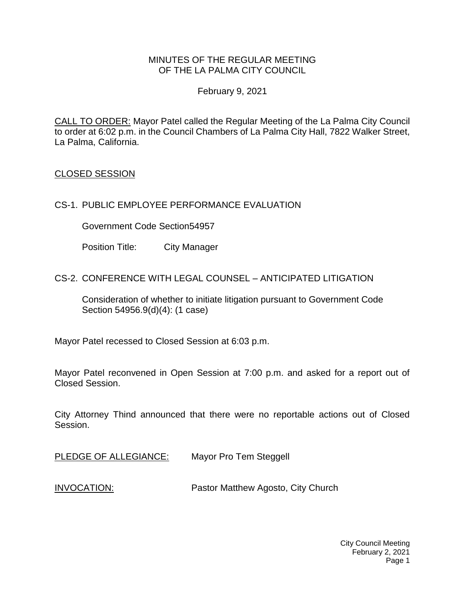### MINUTES OF THE REGULAR MEETING OF THE LA PALMA CITY COUNCIL

### February 9, 2021

CALL TO ORDER: Mayor Patel called the Regular Meeting of the La Palma City Council to order at 6:02 p.m. in the Council Chambers of La Palma City Hall, 7822 Walker Street, La Palma, California.

## CLOSED SESSION

## CS-1. PUBLIC EMPLOYEE PERFORMANCE EVALUATION

Government Code Section54957

Position Title: City Manager

## CS-2. CONFERENCE WITH LEGAL COUNSEL – ANTICIPATED LITIGATION

Consideration of whether to initiate litigation pursuant to Government Code Section 54956.9(d)(4): (1 case)

Mayor Patel recessed to Closed Session at 6:03 p.m.

Mayor Patel reconvened in Open Session at 7:00 p.m. and asked for a report out of Closed Session.

City Attorney Thind announced that there were no reportable actions out of Closed Session.

[PLEDGE OF ALLEGIANCE:](https://lapalma.granicus.com/MediaPlayer.php?view_id=&clip_id=1255&meta_id=168336) Mayor Pro Tem Steggell

INVOCATION: [Pastor Matthew Agosto, City Church](https://lapalma.granicus.com/MediaPlayer.php?view_id=&clip_id=1255&meta_id=168337)

City Council Meeting February 2, 2021 Page 1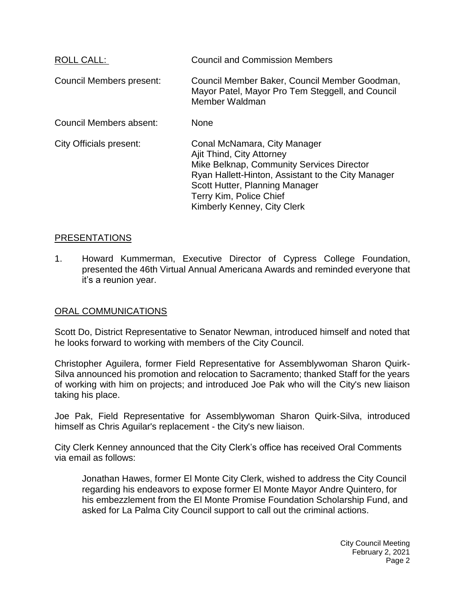| ROLL CALL:                     | <b>Council and Commission Members</b>                                                                                                                                                                                                                    |
|--------------------------------|----------------------------------------------------------------------------------------------------------------------------------------------------------------------------------------------------------------------------------------------------------|
| Council Members present:       | Council Member Baker, Council Member Goodman,<br>Mayor Patel, Mayor Pro Tem Steggell, and Council<br>Member Waldman                                                                                                                                      |
| Council Members absent:        | <b>None</b>                                                                                                                                                                                                                                              |
| <b>City Officials present:</b> | Conal McNamara, City Manager<br>Ajit Thind, City Attorney<br>Mike Belknap, Community Services Director<br>Ryan Hallett-Hinton, Assistant to the City Manager<br>Scott Hutter, Planning Manager<br>Terry Kim, Police Chief<br>Kimberly Kenney, City Clerk |

### [PRESENTATIONS](https://lapalma.granicus.com/MediaPlayer.php?view_id=&clip_id=1255&meta_id=168339)

1. [Howard Kummerman, Executive Director of Cypress College Foundation,](https://lapalma.granicus.com/MediaPlayer.php?view_id=&clip_id=1255&meta_id=168340)  [presented the 46th Virtual Annual Americana Awards and reminded everyone that](https://lapalma.granicus.com/MediaPlayer.php?view_id=&clip_id=1255&meta_id=168340)  [it's a reunion year.](https://lapalma.granicus.com/MediaPlayer.php?view_id=&clip_id=1255&meta_id=168340)

### [ORAL COMMUNICATIONS](https://lapalma.granicus.com/MediaPlayer.php?view_id=&clip_id=1255&meta_id=168341)

Scott Do, District Representative to Senator Newman, introduced himself and noted that he looks forward to working with members of the City Council.

Christopher Aguilera, former Field Representative for Assemblywoman Sharon Quirk-Silva announced his promotion and relocation to Sacramento; thanked Staff for the years of working with him on projects; and introduced Joe Pak who will the City's new liaison taking his place.

Joe Pak, Field Representative for Assemblywoman Sharon Quirk-Silva, introduced himself as Chris Aguilar's replacement - the City's new liaison.

City Clerk Kenney announced that the City Clerk's office has received Oral Comments via email as follows:

Jonathan Hawes, former El Monte City Clerk, wished to address the City Council regarding his endeavors to expose former El Monte Mayor Andre Quintero, for his embezzlement from the El Monte Promise Foundation Scholarship Fund, and asked for La Palma City Council support to call out the criminal actions.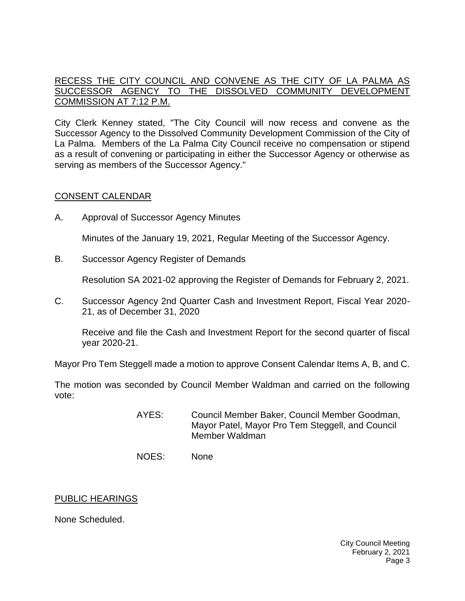## [RECESS THE CITY COUNCIL AND CONVENE AS THE CITY OF LA PALMA AS](https://lapalma.granicus.com/MediaPlayer.php?view_id=&clip_id=1255&meta_id=168342)  [SUCCESSOR AGENCY TO THE DISSOLVED COMMUNITY DEVELOPMENT](https://lapalma.granicus.com/MediaPlayer.php?view_id=&clip_id=1255&meta_id=168342)  [COMMISSION AT 7:12 P.M.](https://lapalma.granicus.com/MediaPlayer.php?view_id=&clip_id=1255&meta_id=168342)

City Clerk Kenney stated, "The City Council will now recess and convene as the Successor Agency to the Dissolved Community Development Commission of the City of La Palma. Members of the La Palma City Council receive no compensation or stipend as a result of convening or participating in either the Successor Agency or otherwise as serving as members of the Successor Agency."

## [CONSENT CALENDAR](https://lapalma.granicus.com/MediaPlayer.php?view_id=&clip_id=1255&meta_id=168344)

A. Approval of Successor Agency Minutes

Minutes of the January 19, 2021, Regular Meeting of the Successor Agency.

B. Successor Agency Register of Demands

Resolution SA 2021-02 approving the Register of Demands for February 2, 2021.

C. Successor Agency 2nd Quarter Cash and Investment Report, Fiscal Year 2020- 21, as of December 31, 2020

Receive and file the Cash and Investment Report for the second quarter of fiscal year 2020-21.

Mayor Pro Tem Steggell made a motion to approve Consent Calendar Items A, B, and C.

The motion was seconded by Council Member Waldman and carried on the following vote:

- AYES: Council Member Baker, Council Member Goodman, Mayor Patel, Mayor Pro Tem Steggell, and Council Member Waldman
- NOES: None

### PUBLIC HEARINGS

None Scheduled.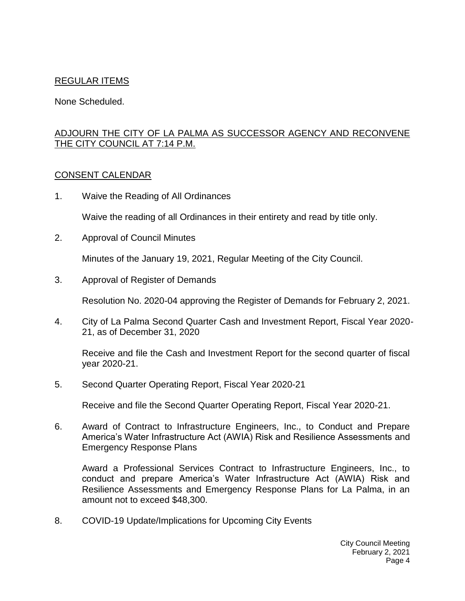## REGULAR ITEMS

None Scheduled.

## [ADJOURN THE CITY OF LA PALMA AS SUCCESSOR AGENCY AND RECONVENE](https://lapalma.granicus.com/MediaPlayer.php?view_id=&clip_id=1255&meta_id=168350)  [THE CITY COUNCIL AT 7:14 P.M.](https://lapalma.granicus.com/MediaPlayer.php?view_id=&clip_id=1255&meta_id=168350)

### [CONSENT CALENDAR](https://lapalma.granicus.com/MediaPlayer.php?view_id=&clip_id=1255&meta_id=168352)

1. Waive the Reading of All Ordinances

Waive the reading of all Ordinances in their entirety and read by title only.

2. Approval of Council Minutes

Minutes of the January 19, 2021, Regular Meeting of the City Council.

3. Approval of Register of Demands

Resolution No. 2020-04 approving the Register of Demands for February 2, 2021.

4. City of La Palma Second Quarter Cash and Investment Report, Fiscal Year 2020- 21, as of December 31, 2020

Receive and file the Cash and Investment Report for the second quarter of fiscal year 2020-21.

5. Second Quarter Operating Report, Fiscal Year 2020-21

Receive and file the Second Quarter Operating Report, Fiscal Year 2020-21.

6. Award of Contract to Infrastructure Engineers, Inc., to Conduct and Prepare America's Water Infrastructure Act (AWIA) Risk and Resilience Assessments and Emergency Response Plans

Award a Professional Services Contract to Infrastructure Engineers, Inc., to conduct and prepare America's Water Infrastructure Act (AWIA) Risk and Resilience Assessments and Emergency Response Plans for La Palma, in an amount not to exceed \$48,300.

8. COVID-19 Update/Implications for Upcoming City Events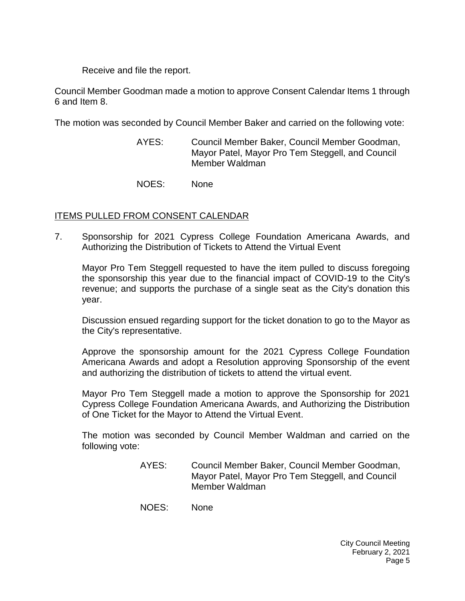Receive and file the report.

Council Member Goodman made a motion to approve Consent Calendar Items 1 through 6 and Item 8.

The motion was seconded by Council Member Baker and carried on the following vote:

- AYES: Council Member Baker, Council Member Goodman, Mayor Patel, Mayor Pro Tem Steggell, and Council Member Waldman
- NOES: None

# ITEMS PULLED FROM CONSENT CALENDAR

7. [Sponsorship for 2021 Cypress College Foundation Americana Awards, and](https://lapalma.granicus.com/MediaPlayer.php?view_id=&clip_id=1255&meta_id=168359)  [Authorizing the Distribution of Tickets to Attend the Virtual Event](https://lapalma.granicus.com/MediaPlayer.php?view_id=&clip_id=1255&meta_id=168359)

Mayor Pro Tem Steggell requested to have the item pulled to discuss foregoing the sponsorship this year due to the financial impact of COVID-19 to the City's revenue; and supports the purchase of a single seat as the City's donation this year.

Discussion ensued regarding support for the ticket donation to go to the Mayor as the City's representative.

Approve the sponsorship amount for the 2021 Cypress College Foundation Americana Awards and adopt a Resolution approving Sponsorship of the event and authorizing the distribution of tickets to attend the virtual event.

Mayor Pro Tem Steggell made a motion to approve the Sponsorship for 2021 Cypress College Foundation Americana Awards, and Authorizing the Distribution of One Ticket for the Mayor to Attend the Virtual Event.

The motion was seconded by Council Member Waldman and carried on the following vote:

- AYES: Council Member Baker, Council Member Goodman, Mayor Patel, Mayor Pro Tem Steggell, and Council Member Waldman
- NOES: None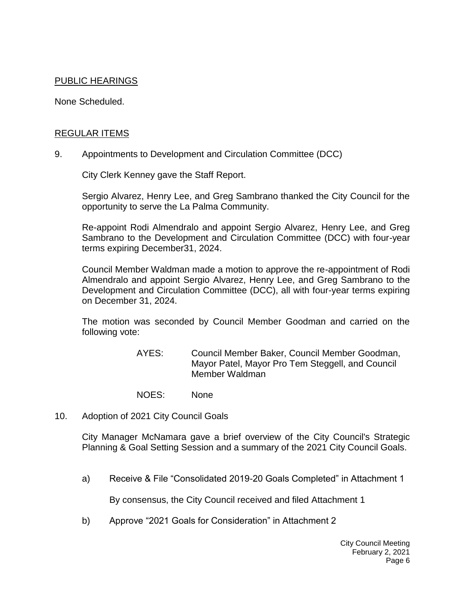## PUBLIC HEARINGS

None Scheduled.

#### [REGULAR ITEMS](https://lapalma.granicus.com/MediaPlayer.php?view_id=&clip_id=1255&meta_id=168362)

9. Appointments to Development [and Circulation Committee \(DCC\)](https://lapalma.granicus.com/MediaPlayer.php?view_id=&clip_id=1255&meta_id=168363)

City Clerk Kenney gave the Staff Report.

Sergio Alvarez, Henry Lee, and Greg Sambrano thanked the City Council for the opportunity to serve the La Palma Community.

Re-appoint Rodi Almendralo and appoint Sergio Alvarez, Henry Lee, and Greg Sambrano to the Development and Circulation Committee (DCC) with four-year terms expiring December31, 2024.

Council Member Waldman made a motion to approve the re-appointment of Rodi Almendralo and appoint Sergio Alvarez, Henry Lee, and Greg Sambrano to the Development and Circulation Committee (DCC), all with four-year terms expiring on December 31, 2024.

The motion was seconded by Council Member Goodman and carried on the following vote:

- AYES: Council Member Baker, Council Member Goodman, Mayor Patel, Mayor Pro Tem Steggell, and Council Member Waldman
- NOES: None
- 10. [Adoption of 2021 City Council Goals](https://lapalma.granicus.com/MediaPlayer.php?view_id=&clip_id=1255&meta_id=168364)

City Manager McNamara gave a brief overview of the City Council's Strategic Planning & Goal Setting Session and a summary of the 2021 City Council Goals.

a) Receive & File "Consolidated 2019-20 Goals Completed" in Attachment 1

By consensus, the City Council received and filed Attachment 1

b) Approve "2021 Goals for Consideration" in Attachment 2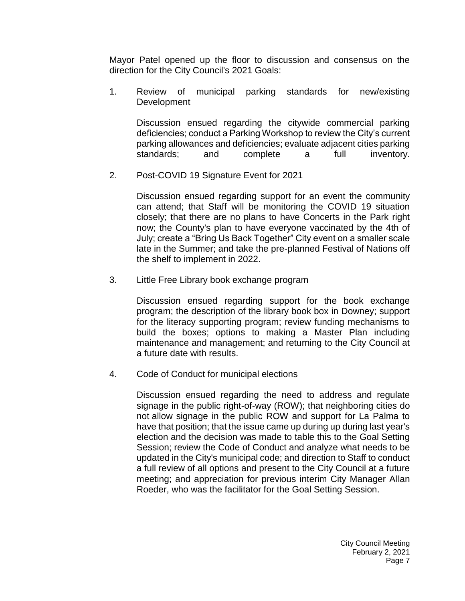Mayor Patel opened up the floor to discussion and consensus on the direction for the City Council's 2021 Goals:

1. Review of municipal parking standards for new/existing Development

Discussion ensued regarding the citywide commercial parking deficiencies; conduct a Parking Workshop to review the City's current parking allowances and deficiencies; evaluate adjacent cities parking standards; and complete a full inventory.

2. Post-COVID 19 Signature Event for 2021

Discussion ensued regarding support for an event the community can attend; that Staff will be monitoring the COVID 19 situation closely; that there are no plans to have Concerts in the Park right now; the County's plan to have everyone vaccinated by the 4th of July; create a "Bring Us Back Together" City event on a smaller scale late in the Summer; and take the pre-planned Festival of Nations off the shelf to implement in 2022.

3. Little Free Library book exchange program

Discussion ensued regarding support for the book exchange program; the description of the library book box in Downey; support for the literacy supporting program; review funding mechanisms to build the boxes; options to making a Master Plan including maintenance and management; and returning to the City Council at a future date with results.

4. Code of Conduct for municipal elections

Discussion ensued regarding the need to address and regulate signage in the public right-of-way (ROW); that neighboring cities do not allow signage in the public ROW and support for La Palma to have that position; that the issue came up during up during last year's election and the decision was made to table this to the Goal Setting Session; review the Code of Conduct and analyze what needs to be updated in the City's municipal code; and direction to Staff to conduct a full review of all options and present to the City Council at a future meeting; and appreciation for previous interim City Manager Allan Roeder, who was the facilitator for the Goal Setting Session.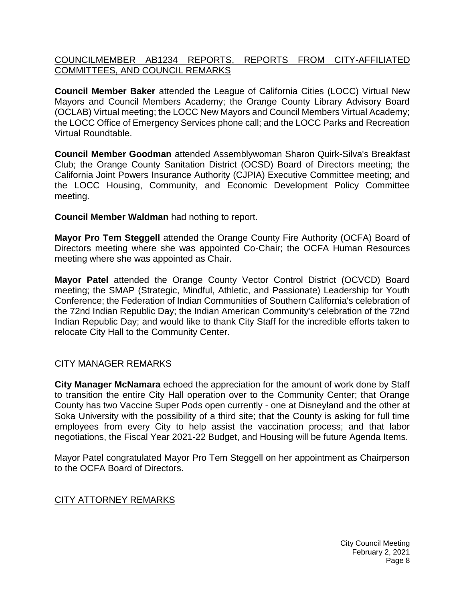## [COUNCILMEMBER AB1234 REPORTS, REPORTS FROM CITY-AFFILIATED](https://lapalma.granicus.com/MediaPlayer.php?view_id=&clip_id=1255&meta_id=168367)  [COMMITTEES, AND COUNCIL REMARKS](https://lapalma.granicus.com/MediaPlayer.php?view_id=&clip_id=1255&meta_id=168367)

**Council Member Baker** attended the League of California Cities (LOCC) Virtual New Mayors and Council Members Academy; the Orange County Library Advisory Board (OCLAB) Virtual meeting; the LOCC New Mayors and Council Members Virtual Academy; the LOCC Office of Emergency Services phone call; and the LOCC Parks and Recreation Virtual Roundtable.

**Council Member Goodman** attended Assemblywoman Sharon Quirk-Silva's Breakfast Club; the Orange County Sanitation District (OCSD) Board of Directors meeting; the California Joint Powers Insurance Authority (CJPIA) Executive Committee meeting; and the LOCC Housing, Community, and Economic Development Policy Committee meeting.

**Council Member Waldman** had nothing to report.

**Mayor Pro Tem Steggell** attended the Orange County Fire Authority (OCFA) Board of Directors meeting where she was appointed Co-Chair; the OCFA Human Resources meeting where she was appointed as Chair.

**Mayor Patel** attended the Orange County Vector Control District (OCVCD) Board meeting; the SMAP (Strategic, Mindful, Athletic, and Passionate) Leadership for Youth Conference; the Federation of Indian Communities of Southern California's celebration of the 72nd Indian Republic Day; the Indian American Community's celebration of the 72nd Indian Republic Day; and would like to thank City Staff for the incredible efforts taken to relocate City Hall to the Community Center.

## [CITY MANAGER REMARKS](https://lapalma.granicus.com/MediaPlayer.php?view_id=&clip_id=1255&meta_id=168368)

**City Manager McNamara** echoed the appreciation for the amount of work done by Staff to transition the entire City Hall operation over to the Community Center; that Orange County has two Vaccine Super Pods open currently - one at Disneyland and the other at Soka University with the possibility of a third site; that the County is asking for full time employees from every City to help assist the vaccination process; and that labor negotiations, the Fiscal Year 2021-22 Budget, and Housing will be future Agenda Items.

Mayor Patel congratulated Mayor Pro Tem Steggell on her appointment as Chairperson to the OCFA Board of Directors.

### [CITY ATTORNEY REMARKS](https://lapalma.granicus.com/MediaPlayer.php?view_id=&clip_id=1255&meta_id=168369)